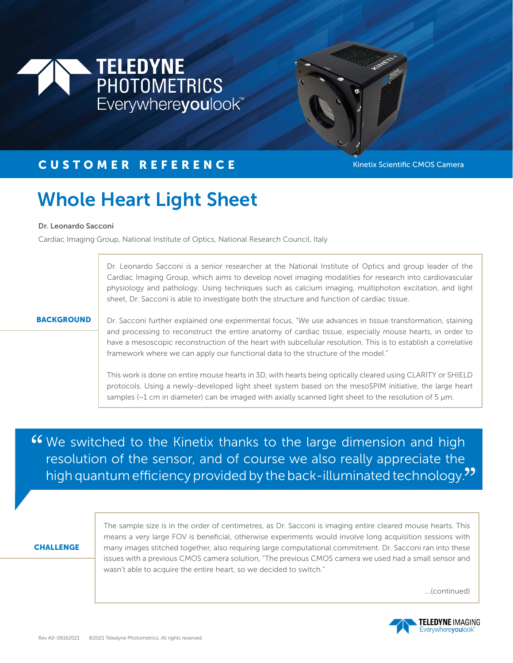



## CUSTOMER REFERENCE Kinetix Scientific CMOS Camera

# Whole Heart Light Sheet

#### Dr. Leonardo Sacconi

Cardiac Imaging Group, National Institute of Optics, National Research Council, Italy

Dr. Leonardo Sacconi is a senior researcher at the National Institute of Optics and group leader of the Cardiac Imaging Group, which aims to develop novel imaging modalities for research into cardiovascular physiology and pathology. Using techniques such as calcium imaging, multiphoton excitation, and light sheet, Dr. Sacconi is able to investigate both the structure and function of cardiac tissue.

#### **BACKGROUND**

Dr. Sacconi further explained one experimental focus, "We use advances in tissue transformation, staining and processing to reconstruct the entire anatomy of cardiac tissue, especially mouse hearts, in order to have a mesoscopic reconstruction of the heart with subcellular resolution. This is to establish a correlative framework where we can apply our functional data to the structure of the model."

This work is done on entire mouse hearts in 3D, with hearts being optically cleared using CLARITY or SHIELD protocols. Using a newly-developed light sheet system based on the mesoSPIM initiative, the large heart samples ( $\sim$ 1 cm in diameter) can be imaged with axially scanned light sheet to the resolution of 5  $\mu$ m.

We switched to the Kinetix thanks to the large dimension and high<br>resolution of the sensor, and of course we also really appreciate the resolution of the sensor, and of course we also really appreciate the resolution of the sensor, and of course we also really appreciate the<br>high quantum efficiency provided by the back-illuminated technology."

#### **CHALLENGE**

The sample size is in the order of centimetres, as Dr. Sacconi is imaging entire cleared mouse hearts. This means a very large FOV is beneficial, otherwise experiments would involve long acquisition sessions with many images stitched together, also requiring large computational commitment. Dr. Sacconi ran into these issues with a previous CMOS camera solution, "The previous CMOS camera we used had a small sensor and wasn't able to acquire the entire heart, so we decided to switch."

...(continued)